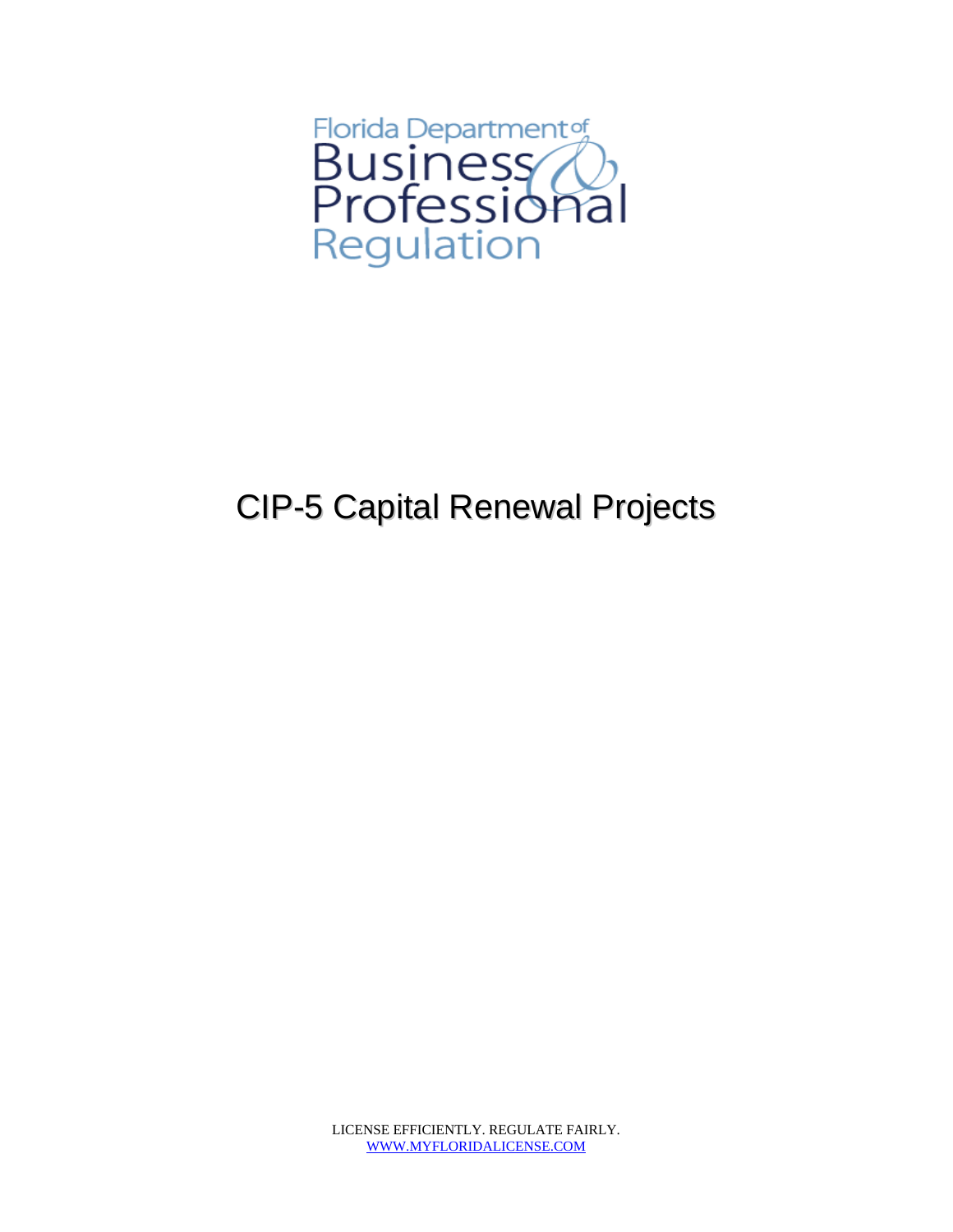

## CIP-5 Capital Renewal Projects

LICENSE EFFICIENTLY. REGULATE FAIRLY. WWW.MYFLORIDALICENSE.COM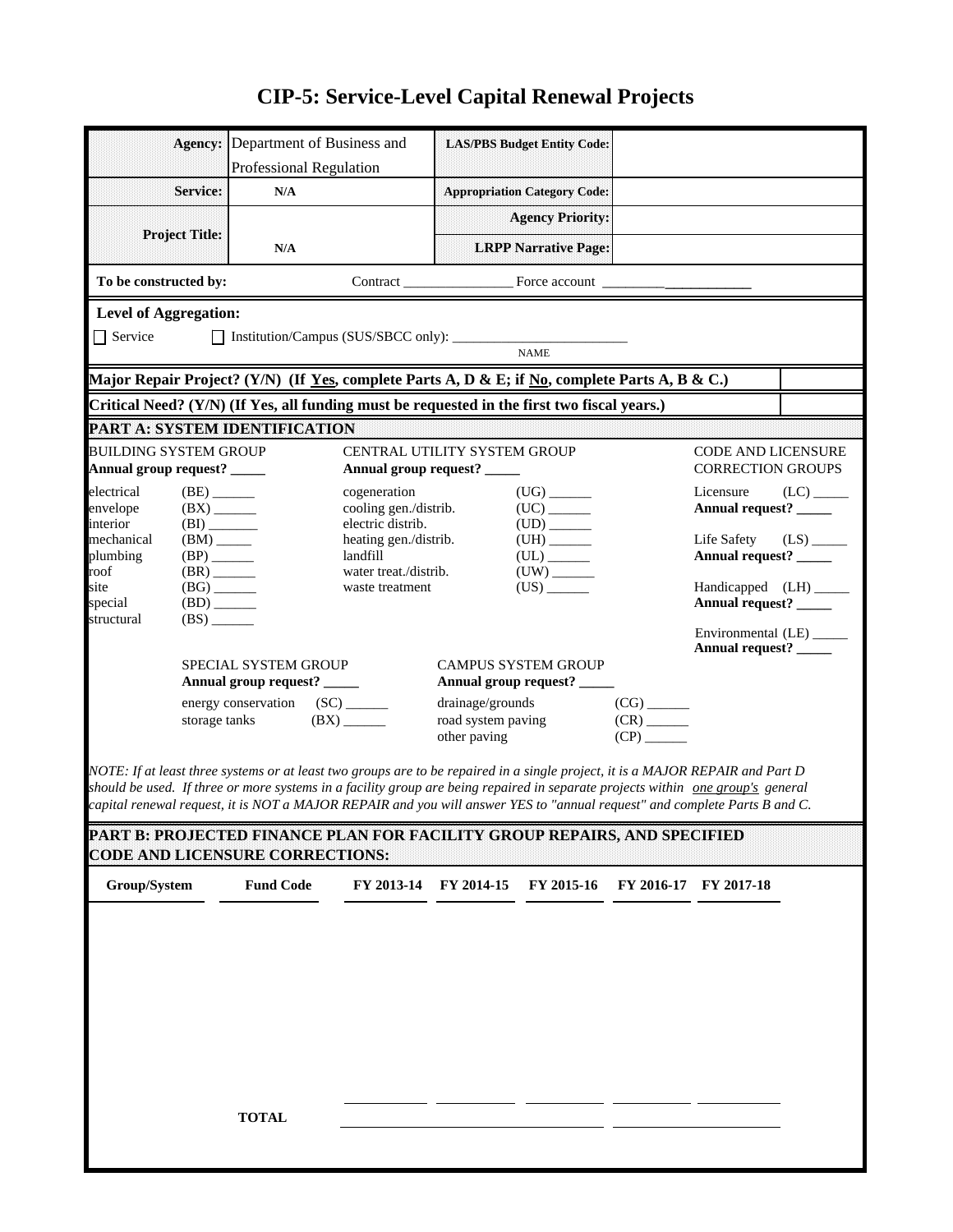## **CIP-5: Service-Level Capital Renewal Projects**

|                              |                                                     | <b>Agency:</b> Department of Business and                                                                                       |                              |                                                | <b>LAS/PBS Budget Entity Code:</b>     |                           |                           |                         |
|------------------------------|-----------------------------------------------------|---------------------------------------------------------------------------------------------------------------------------------|------------------------------|------------------------------------------------|----------------------------------------|---------------------------|---------------------------|-------------------------|
|                              |                                                     | <b>Professional Regulation</b>                                                                                                  |                              |                                                |                                        |                           |                           |                         |
|                              |                                                     |                                                                                                                                 |                              |                                                |                                        |                           |                           |                         |
|                              | <b>Service:</b>                                     | $\mathbf{N}/\mathbf{A}$                                                                                                         |                              |                                                | <b>Appropriation Category Code:</b>    |                           |                           |                         |
|                              |                                                     |                                                                                                                                 |                              |                                                | <b>Agency Priority:</b>                |                           |                           |                         |
|                              | <b>Project Title:</b>                               |                                                                                                                                 |                              |                                                |                                        |                           |                           |                         |
|                              |                                                     | N/A                                                                                                                             |                              |                                                | <b>LRPP Narrative Page:</b>            |                           |                           |                         |
|                              |                                                     |                                                                                                                                 |                              |                                                |                                        |                           |                           |                         |
| To be constructed by:        |                                                     |                                                                                                                                 |                              |                                                |                                        |                           |                           |                         |
| <b>Level of Aggregation:</b> |                                                     |                                                                                                                                 |                              |                                                |                                        |                           |                           |                         |
|                              |                                                     |                                                                                                                                 |                              |                                                |                                        |                           |                           |                         |
| $\Box$ Service               |                                                     |                                                                                                                                 |                              |                                                | <b>NAME</b>                            |                           |                           |                         |
|                              |                                                     |                                                                                                                                 |                              |                                                |                                        |                           |                           |                         |
|                              |                                                     | Major Repair Project? (Y/N) (If Yes, complete Parts A, D & E; if No, complete Parts A, B & C.)                                  |                              |                                                |                                        |                           |                           |                         |
|                              |                                                     | Critical Need? (Y/N) (If Yes, all funding must be requested in the first two fiscal years.)                                     |                              |                                                |                                        |                           |                           |                         |
|                              |                                                     |                                                                                                                                 |                              |                                                |                                        |                           |                           |                         |
|                              |                                                     | PART A: SYSTEM IDENTIFICATION                                                                                                   |                              |                                                |                                        |                           |                           |                         |
| <b>BUILDING SYSTEM GROUP</b> |                                                     |                                                                                                                                 | CENTRAL UTILITY SYSTEM GROUP |                                                |                                        |                           | <b>CODE AND LICENSURE</b> |                         |
| Annual group request? _____  |                                                     |                                                                                                                                 | Annual group request? _____  |                                                |                                        |                           | <b>CORRECTION GROUPS</b>  |                         |
| electrical                   | $(BE)$ <sub>______</sub>                            |                                                                                                                                 | cogeneration                 |                                                |                                        |                           | Licensure                 | $(LC)$ <sub>_____</sub> |
| envelope                     | $(BX)$ <sub>______</sub>                            |                                                                                                                                 | cooling gen./distrib.        |                                                | $(UC)$ <sub>_______</sub>              |                           | Annual request? _____     |                         |
| interior                     | $(BI)$ <sub>________</sub>                          |                                                                                                                                 | electric distrib.            |                                                | $\text{(UD)} \_\_\_\_\_\_\_\_$         |                           |                           |                         |
| mechanical                   |                                                     |                                                                                                                                 | heating gen./distrib.        |                                                | ${\rm (UH)} \xrightarrow{\phantom{a}}$ |                           | Life Safety               | $(LS)$ <sub>_____</sub> |
| plumbing                     | $(BP)$ <sub>______</sub>                            |                                                                                                                                 | landfill                     |                                                |                                        |                           | Annual request? _____     |                         |
| roof<br>site                 | $(BR)$ <sub>______</sub>                            |                                                                                                                                 | water treat./distrib.        |                                                |                                        |                           | Handicapped (LH) _____    |                         |
| special                      | $(BG)$ <sub>_____</sub><br>$(BD)$ <sub>______</sub> |                                                                                                                                 | waste treatment              |                                                |                                        |                           | Annual request? ______    |                         |
| structural                   | (BS)                                                |                                                                                                                                 |                              |                                                |                                        |                           |                           |                         |
|                              |                                                     |                                                                                                                                 |                              |                                                |                                        |                           | Environmental (LE) ______ |                         |
|                              |                                                     |                                                                                                                                 |                              |                                                |                                        |                           | Annual request? _____     |                         |
|                              |                                                     | SPECIAL SYSTEM GROUP                                                                                                            |                              |                                                | <b>CAMPUS SYSTEM GROUP</b>             |                           |                           |                         |
|                              |                                                     | Annual group request? ______                                                                                                    |                              | drainage/grounds                               | Annual group request? _____            |                           |                           |                         |
|                              |                                                     | energy conservation (SC) _______                                                                                                |                              |                                                |                                        |                           |                           |                         |
|                              | $(BX)$ <sub>_____</sub><br>storage tanks            |                                                                                                                                 |                              | $(CR)$ <sub>______</sub><br>road system paving |                                        |                           |                           |                         |
|                              |                                                     |                                                                                                                                 |                              |                                                |                                        |                           |                           |                         |
|                              |                                                     |                                                                                                                                 |                              | other paving                                   |                                        | $(CP)$ <sub>_______</sub> |                           |                         |
|                              |                                                     |                                                                                                                                 |                              |                                                |                                        |                           |                           |                         |
|                              |                                                     | NOTE: If at least three systems or at least two groups are to be repaired in a single project, it is a MAJOR REPAIR and Part D  |                              |                                                |                                        |                           |                           |                         |
|                              |                                                     | should be used. If three or more systems in a facility group are being repaired in separate projects within one group's general |                              |                                                |                                        |                           |                           |                         |
|                              |                                                     | capital renewal request, it is NOT a MAJOR REPAIR and you will answer YES to "annual request" and complete Parts B and C.       |                              |                                                |                                        |                           |                           |                         |
|                              |                                                     | PART B: PROJECTED FINANCE PLAN FOR FACILITY GROUP REPAIRS, AND SPECIFIED                                                        |                              |                                                |                                        |                           |                           |                         |
|                              |                                                     | <b>CODE AND LICENSURE CORRECTIONS:</b>                                                                                          |                              |                                                |                                        |                           |                           |                         |
|                              |                                                     |                                                                                                                                 |                              |                                                |                                        |                           |                           |                         |
| Group/System                 |                                                     | <b>Fund Code</b>                                                                                                                |                              | FY 2013-14 FY 2014-15                          | FY 2015-16                             |                           | FY 2016-17 FY 2017-18     |                         |
|                              |                                                     |                                                                                                                                 |                              |                                                |                                        |                           |                           |                         |
|                              |                                                     |                                                                                                                                 |                              |                                                |                                        |                           |                           |                         |
|                              |                                                     |                                                                                                                                 |                              |                                                |                                        |                           |                           |                         |
|                              |                                                     |                                                                                                                                 |                              |                                                |                                        |                           |                           |                         |
|                              |                                                     |                                                                                                                                 |                              |                                                |                                        |                           |                           |                         |
|                              |                                                     |                                                                                                                                 |                              |                                                |                                        |                           |                           |                         |
|                              |                                                     |                                                                                                                                 |                              |                                                |                                        |                           |                           |                         |
|                              |                                                     |                                                                                                                                 |                              |                                                |                                        |                           |                           |                         |
|                              |                                                     |                                                                                                                                 |                              |                                                |                                        |                           |                           |                         |
|                              |                                                     |                                                                                                                                 |                              |                                                |                                        |                           |                           |                         |
|                              |                                                     |                                                                                                                                 |                              |                                                |                                        |                           |                           |                         |
|                              |                                                     |                                                                                                                                 |                              |                                                |                                        |                           |                           |                         |
|                              |                                                     | <b>TOTAL</b>                                                                                                                    |                              |                                                |                                        |                           |                           |                         |
|                              |                                                     |                                                                                                                                 |                              |                                                |                                        |                           |                           |                         |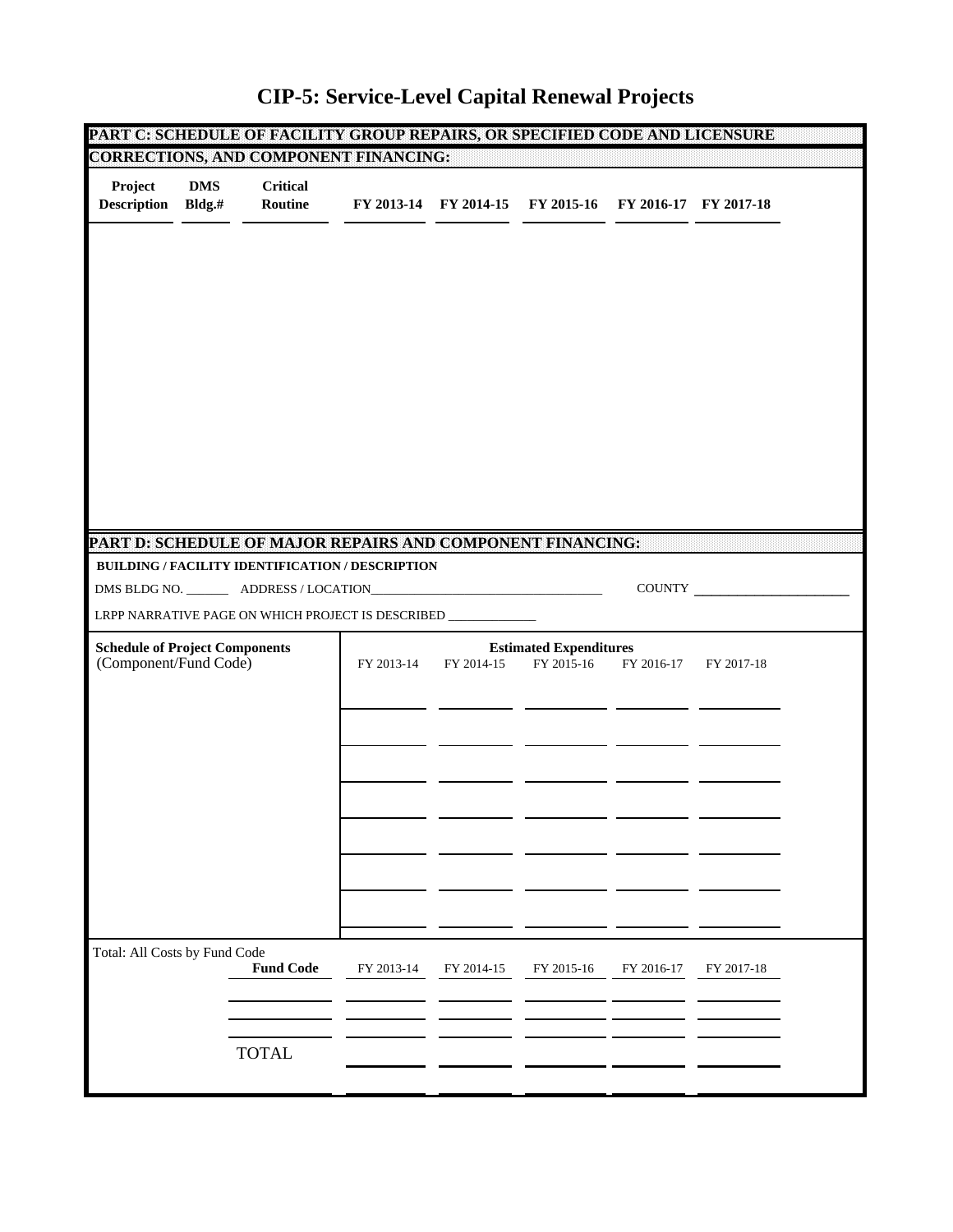|                                                                |                      |                            | PART C: SCHEDULE OF FACILITY GROUP REPAIRS, OR SPECIFIED CODE AND LICENSURE                                    |            |                                                        |            |                       |  |
|----------------------------------------------------------------|----------------------|----------------------------|----------------------------------------------------------------------------------------------------------------|------------|--------------------------------------------------------|------------|-----------------------|--|
|                                                                |                      |                            | CORRECTIONS, AND COMPONENT FINANCING:                                                                          |            |                                                        |            |                       |  |
| Project<br><b>Description</b>                                  | <b>DMS</b><br>Bldg.# | <b>Critical</b><br>Routine |                                                                                                                |            | FY 2013-14 FY 2014-15 FY 2015-16 FY 2016-17 FY 2017-18 |            |                       |  |
|                                                                |                      |                            |                                                                                                                |            |                                                        |            |                       |  |
|                                                                |                      |                            |                                                                                                                |            |                                                        |            |                       |  |
|                                                                |                      |                            |                                                                                                                |            |                                                        |            |                       |  |
|                                                                |                      |                            | PART D: SCHEDULE OF MAJOR REPAIRS AND COMPONENT FINANCING:<br>BUILDING / FACILITY IDENTIFICATION / DESCRIPTION |            |                                                        |            |                       |  |
|                                                                |                      |                            |                                                                                                                |            |                                                        |            | COUNTY                |  |
|                                                                |                      |                            | LRPP NARRATIVE PAGE ON WHICH PROJECT IS DESCRIBED ____________                                                 |            |                                                        |            |                       |  |
| <b>Schedule of Project Components</b><br>(Component/Fund Code) |                      |                            | FY 2013-14                                                                                                     | FY 2014-15 | <b>Estimated Expenditures</b><br>FY 2015-16            |            | FY 2016-17 FY 2017-18 |  |
|                                                                |                      |                            |                                                                                                                |            |                                                        |            |                       |  |
|                                                                |                      |                            |                                                                                                                |            |                                                        |            |                       |  |
|                                                                |                      |                            |                                                                                                                |            |                                                        |            |                       |  |
|                                                                |                      |                            |                                                                                                                |            |                                                        |            |                       |  |
| Total: All Costs by Fund Code                                  |                      | <b>Fund Code</b>           | FY 2013-14                                                                                                     | FY 2014-15 | FY 2015-16                                             | FY 2016-17 | FY 2017-18            |  |
|                                                                |                      |                            |                                                                                                                |            |                                                        |            |                       |  |
|                                                                |                      |                            |                                                                                                                |            |                                                        |            |                       |  |

## **CIP-5: Service-Level Capital Renewal Projects**